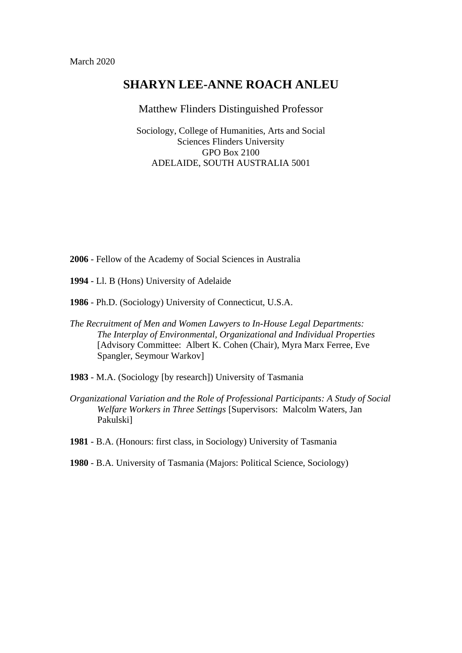# **SHARYN LEE-ANNE ROACH ANLEU**

## Matthew Flinders Distinguished Professor

Sociology, College of Humanities, Arts and Social Sciences Flinders University GPO Box 2100 ADELAIDE, SOUTH AUSTRALIA 5001

- **2006** Fellow of the Academy of Social Sciences in Australia
- **1994** Ll. B (Hons) University of Adelaide
- **1986** Ph.D. (Sociology) University of Connecticut, U.S.A.
- *The Recruitment of Men and Women Lawyers to In-House Legal Departments: The Interplay of Environmental, Organizational and Individual Properties* [Advisory Committee: Albert K. Cohen (Chair), Myra Marx Ferree, Eve Spangler, Seymour Warkov]
- **1983** M.A. (Sociology [by research]) University of Tasmania
- *Organizational Variation and the Role of Professional Participants: A Study of Social Welfare Workers in Three Settings* [Supervisors: Malcolm Waters, Jan Pakulski]
- **1981** B.A. (Honours: first class, in Sociology) University of Tasmania
- **1980** B.A. University of Tasmania (Majors: Political Science, Sociology)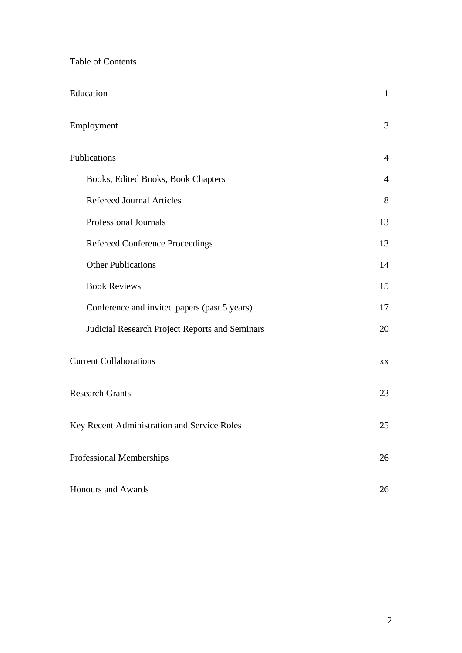| <b>Table of Contents</b> |  |
|--------------------------|--|
|--------------------------|--|

| Education                                      | $\mathbf{1}$   |
|------------------------------------------------|----------------|
| Employment                                     | 3              |
| Publications                                   | $\overline{4}$ |
| Books, Edited Books, Book Chapters             | $\overline{4}$ |
| <b>Refereed Journal Articles</b>               | 8              |
| Professional Journals                          | 13             |
| Refereed Conference Proceedings                | 13             |
| <b>Other Publications</b>                      | 14             |
| <b>Book Reviews</b>                            | 15             |
| Conference and invited papers (past 5 years)   | 17             |
| Judicial Research Project Reports and Seminars | 20             |
| <b>Current Collaborations</b>                  | XX             |
| <b>Research Grants</b>                         | 23             |
| Key Recent Administration and Service Roles    | 25             |
| Professional Memberships                       | 26             |
| <b>Honours and Awards</b>                      | 26             |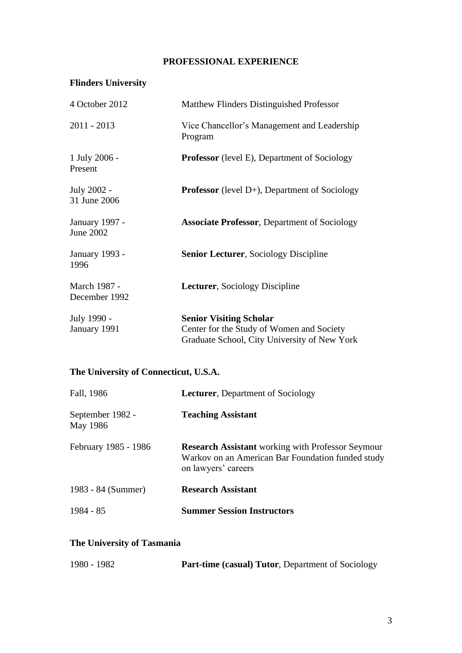## **PROFESSIONAL EXPERIENCE**

# **Flinders University**

| 4 October 2012                            | Matthew Flinders Distinguished Professor                                                                                    |
|-------------------------------------------|-----------------------------------------------------------------------------------------------------------------------------|
| 2011 - 2013                               | Vice Chancellor's Management and Leadership<br>Program                                                                      |
| 1 July 2006 -<br>Present                  | <b>Professor</b> (level E), Department of Sociology                                                                         |
| July 2002 -<br>31 June 2006               | <b>Professor</b> (level $D+$ ), Department of Sociology                                                                     |
| <b>January 1997 -</b><br><b>June 2002</b> | <b>Associate Professor</b> , Department of Sociology                                                                        |
| January 1993 -<br>1996                    | <b>Senior Lecturer, Sociology Discipline</b>                                                                                |
| March 1987 -<br>December 1992             | Lecturer, Sociology Discipline                                                                                              |
| July 1990 -<br>January 1991               | <b>Senior Visiting Scholar</b><br>Center for the Study of Women and Society<br>Graduate School, City University of New York |

# **The University of Connecticut, U.S.A.**

| Fall, 1986                   | <b>Lecturer, Department of Sociology</b>                                                                                             |
|------------------------------|--------------------------------------------------------------------------------------------------------------------------------------|
| September 1982 -<br>May 1986 | <b>Teaching Assistant</b>                                                                                                            |
| February 1985 - 1986         | <b>Research Assistant</b> working with Professor Seymour<br>Warkov on an American Bar Foundation funded study<br>on lawyers' careers |
| 1983 - 84 (Summer)           | <b>Research Assistant</b>                                                                                                            |
| $1984 - 85$                  | <b>Summer Session Instructors</b>                                                                                                    |

## **The University of Tasmania**

| 1980 - 1982 | Part-time (casual) Tutor, Department of Sociology |  |
|-------------|---------------------------------------------------|--|
|-------------|---------------------------------------------------|--|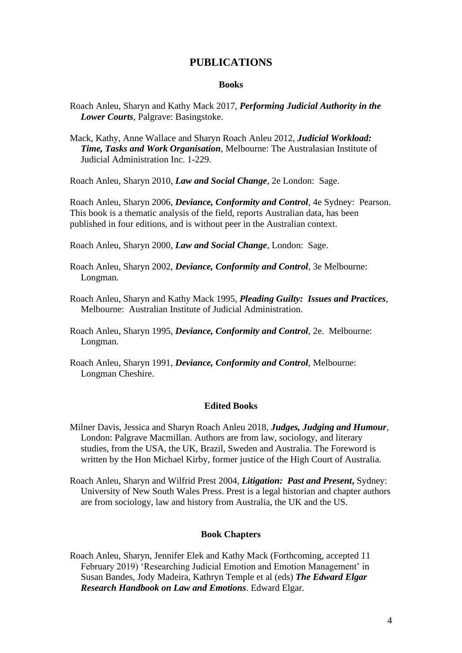## **PUBLICATIONS**

#### **Books**

- Roach Anleu, Sharyn and Kathy Mack 2017, *Performing Judicial Authority in the Lower Courts*, Palgrave: Basingstoke.
- Mack, Kathy, Anne Wallace and Sharyn Roach Anleu 2012, *Judicial Workload: Time, Tasks and Work Organisation*, Melbourne: The Australasian Institute of Judicial Administration Inc. 1-229.
- Roach Anleu, Sharyn 2010, *Law and Social Change*, 2e London: Sage.

Roach Anleu, Sharyn 2006, *Deviance, Conformity and Control*, 4e Sydney: Pearson. This book is a thematic analysis of the field, reports Australian data, has been published in four editions, and is without peer in the Australian context.

Roach Anleu, Sharyn 2000, *Law and Social Change*, London: Sage.

- Roach Anleu, Sharyn 2002, *Deviance, Conformity and Control*, 3e Melbourne: Longman.
- Roach Anleu, Sharyn and Kathy Mack 1995, *Pleading Guilty: Issues and Practices*, Melbourne: Australian Institute of Judicial Administration.
- Roach Anleu, Sharyn 1995, *Deviance, Conformity and Control*, 2e. Melbourne: Longman.
- Roach Anleu, Sharyn 1991, *Deviance, Conformity and Control*, Melbourne: Longman Cheshire.

## **Edited Books**

- Milner Davis, Jessica and Sharyn Roach Anleu 2018, *Judges, Judging and Humour*, London: Palgrave Macmillan. Authors are from law, sociology, and literary studies, from the USA, the UK, Brazil, Sweden and Australia. The Foreword is written by the Hon Michael Kirby, former justice of the High Court of Australia.
- Roach Anleu, Sharyn and Wilfrid Prest 2004, *Litigation: Past and Present***,** Sydney: University of New South Wales Press. Prest is a legal historian and chapter authors are from sociology, law and history from Australia, the UK and the US.

#### **Book Chapters**

Roach Anleu, Sharyn, Jennifer Elek and Kathy Mack (Forthcoming, accepted 11 February 2019) 'Researching Judicial Emotion and Emotion Management' in Susan Bandes, Jody Madeira, Kathryn Temple et al (eds) *The Edward Elgar Research Handbook on Law and Emotions*. Edward Elgar.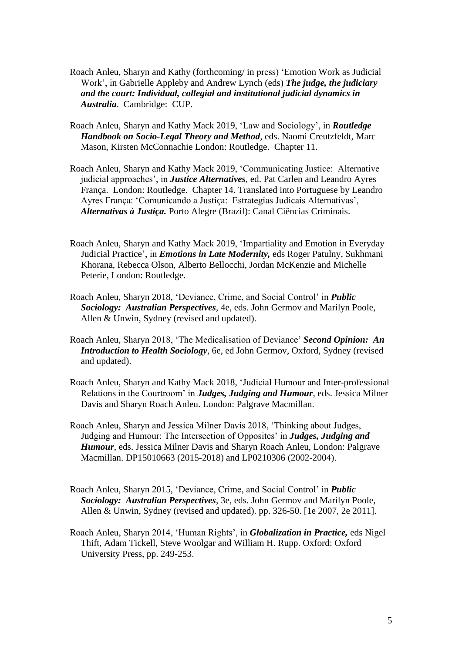- Roach Anleu, Sharyn and Kathy (forthcoming/ in press) 'Emotion Work as Judicial Work', in Gabrielle Appleby and Andrew Lynch (eds) *The judge, the judiciary and the court: Individual, collegial and institutional judicial dynamics in Australia*. Cambridge: CUP.
- Roach Anleu, Sharyn and Kathy Mack 2019, 'Law and Sociology', in *Routledge Handbook on Socio-Legal Theory and Method*, eds. Naomi Creutzfeldt, Marc Mason, Kirsten McConnachie London: Routledge. Chapter 11.
- Roach Anleu, Sharyn and Kathy Mack 2019, 'Communicating Justice: Alternative judicial approaches', in *Justice Alternatives*, ed. Pat Carlen and [Leandro Ayres](https://www.routledge.com/products/search?author=Leandro%20Ayres%20Fran%C3%A7a)  [França.](https://www.routledge.com/products/search?author=Leandro%20Ayres%20Fran%C3%A7a)London: Routledge. Chapter 14. Translated into Portuguese by Leandro Ayres França: 'Comunicando a Justiça: Estrategias Judicais Alternativas', *Alternativas à Justiça.* Porto Alegre (Brazil): Canal Ciências Criminais.
- Roach Anleu, Sharyn and Kathy Mack 2019, 'Impartiality and Emotion in Everyday Judicial Practice', in *Emotions in Late Modernity,* eds Roger Patulny, Sukhmani Khorana, Rebecca Olson, Alberto Bellocchi, Jordan McKenzie and Michelle Peterie, London: Routledge.
- Roach Anleu, Sharyn 2018, 'Deviance, Crime, and Social Control' in *Public Sociology: Australian Perspectives*, 4e, eds. John Germov and Marilyn Poole, Allen & Unwin, Sydney (revised and updated).
- Roach Anleu, Sharyn 2018, 'The Medicalisation of Deviance' *Second Opinion: An Introduction to Health Sociology*, 6e, ed John Germov, Oxford, Sydney (revised and updated).
- Roach Anleu, Sharyn and Kathy Mack 2018, 'Judicial Humour and Inter-professional Relations in the Courtroom' in *Judges, Judging and Humour*, eds. Jessica Milner Davis and Sharyn Roach Anleu. London: Palgrave Macmillan.
- Roach Anleu, Sharyn and Jessica Milner Davis 2018, 'Thinking about Judges, Judging and Humour: The Intersection of Opposites' in *Judges, Judging and Humour*, eds. Jessica Milner Davis and Sharyn Roach Anleu, London: Palgrave Macmillan. DP15010663 (2015-2018) and LP0210306 (2002-2004).
- Roach Anleu, Sharyn 2015, 'Deviance, Crime, and Social Control' in *Public Sociology: Australian Perspectives*, 3e, eds. John Germov and Marilyn Poole, Allen & Unwin, Sydney (revised and updated). pp. 326-50. [1e 2007, 2e 2011].
- Roach Anleu, Sharyn 2014, 'Human Rights', in *Globalization in Practice,* eds Nigel Thift, Adam Tickell, Steve Woolgar and William H. Rupp. Oxford: Oxford University Press, pp. 249-253.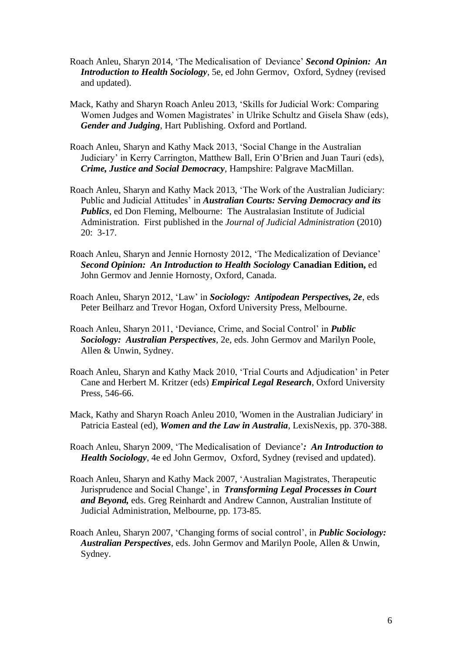- Roach Anleu, Sharyn 2014, 'The Medicalisation of Deviance' *Second Opinion: An Introduction to Health Sociology*, 5e, ed John Germov, Oxford, Sydney (revised and updated).
- Mack, Kathy and Sharyn Roach Anleu 2013, 'Skills for Judicial Work: Comparing Women Judges and Women Magistrates' in Ulrike Schultz and Gisela Shaw (eds), *Gender and Judging*, Hart Publishing. Oxford and Portland.
- Roach Anleu, Sharyn and Kathy Mack 2013, 'Social Change in the Australian Judiciary' in Kerry Carrington, Matthew Ball, Erin O'Brien and Juan Tauri (eds), *Crime, Justice and Social Democracy*, Hampshire: Palgrave MacMillan.
- Roach Anleu, Sharyn and Kathy Mack 2013, 'The Work of the Australian Judiciary: Public and Judicial Attitudes' in *Australian Courts: Serving Democracy and its Publics*, ed Don Fleming, Melbourne: The Australasian Institute of Judicial Administration. First published in the *Journal of Judicial Administration* (2010) 20: 3-17.
- Roach Anleu, Sharyn and Jennie Hornosty 2012, 'The Medicalization of Deviance' *Second Opinion: An Introduction to Health Sociology* **Canadian Edition,** ed John Germov and Jennie Hornosty, Oxford, Canada.
- Roach Anleu, Sharyn 2012, 'Law' in *Sociology: Antipodean Perspectives, 2e*, eds Peter Beilharz and Trevor Hogan, Oxford University Press, Melbourne.
- Roach Anleu, Sharyn 2011, 'Deviance, Crime, and Social Control' in *Public Sociology: Australian Perspectives*, 2e, eds. John Germov and Marilyn Poole, Allen & Unwin, Sydney.
- Roach Anleu, Sharyn and Kathy Mack 2010, 'Trial Courts and Adjudication' in Peter Cane and Herbert M. Kritzer (eds) *Empirical Legal Research*, Oxford University Press, 546-66.
- Mack, Kathy and Sharyn Roach Anleu 2010, 'Women in the Australian Judiciary' in Patricia Easteal (ed), *Women and the Law in Australia*, LexisNexis, pp. 370-388.
- Roach Anleu, Sharyn 2009, 'The Medicalisation of Deviance'*: An Introduction to Health Sociology*, 4e ed John Germov, Oxford, Sydney (revised and updated).
- Roach Anleu, Sharyn and Kathy Mack 2007, 'Australian Magistrates, Therapeutic Jurisprudence and Social Change', in *Transforming Legal Processes in Court and Beyond,* eds. Greg Reinhardt and Andrew Cannon, Australian Institute of Judicial Administration, Melbourne, pp. 173-85.
- Roach Anleu, Sharyn 2007, 'Changing forms of social control', in *Public Sociology: Australian Perspectives*, eds. John Germov and Marilyn Poole, Allen & Unwin, Sydney.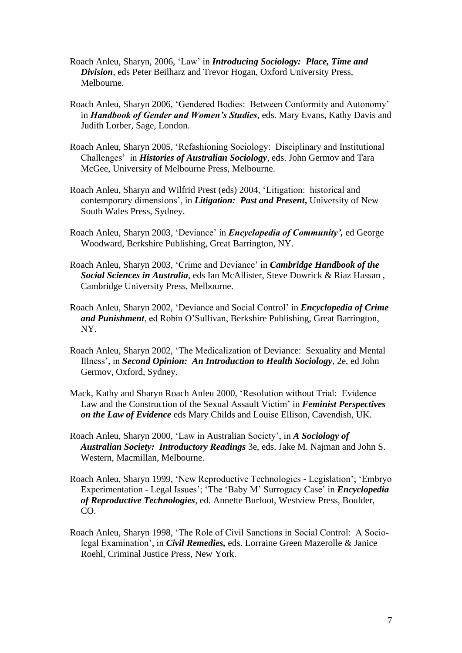- Roach Anleu, Sharyn, 2006, 'Law' in *Introducing Sociology: Place, Time and Division*, eds Peter Beilharz and Trevor Hogan, Oxford University Press, Melbourne.
- Roach Anleu, Sharyn 2006, 'Gendered Bodies: Between Conformity and Autonomy' in *Handbook of Gender and Women's Studies*, eds. Mary Evans, Kathy Davis and Judith Lorber, Sage, London.
- Roach Anleu, Sharyn 2005, 'Refashioning Sociology: Disciplinary and Institutional Challenges' in *Histories of Australian Sociology*, eds. John Germov and Tara McGee, University of Melbourne Press, Melbourne.
- Roach Anleu, Sharyn and Wilfrid Prest (eds) 2004, 'Litigation: historical and contemporary dimensions', in *Litigation: Past and Present***,** University of New South Wales Press, Sydney.
- Roach Anleu, Sharyn 2003, 'Deviance' in *Encyclopedia of Community',* ed George Woodward, Berkshire Publishing, Great Barrington, NY.
- Roach Anleu, Sharyn 2003, 'Crime and Deviance' in *Cambridge Handbook of the Social Sciences in Australia*, eds Ian McAllister, Steve Dowrick & Riaz Hassan , Cambridge University Press, Melbourne.
- Roach Anleu, Sharyn 2002, 'Deviance and Social Control' in *Encyclopedia of Crime and Punishment*, ed Robin O'Sullivan, Berkshire Publishing, Great Barrington, NY.
- Roach Anleu, Sharyn 2002, 'The Medicalization of Deviance: Sexuality and Mental Illness', in *Second Opinion: An Introduction to Health Sociology*, 2e, ed John Germov, Oxford, Sydney.
- Mack, Kathy and Sharyn Roach Anleu 2000, 'Resolution without Trial: Evidence Law and the Construction of the Sexual Assault Victim' in *Feminist Perspectives on the Law of Evidence* eds Mary Childs and Louise Ellison, Cavendish, UK.
- Roach Anleu, Sharyn 2000, 'Law in Australian Society', in *A Sociology of Australian Society: Introductory Readings* 3e, eds. Jake M. Najman and John S. Western, Macmillan, Melbourne.
- Roach Anleu, Sharyn 1999, 'New Reproductive Technologies Legislation'; 'Embryo Experimentation - Legal Issues'; 'The 'Baby M' Surrogacy Case' in *Encyclopedia of Reproductive Technologies*, ed. Annette Burfoot, Westview Press, Boulder, CO.
- Roach Anleu, Sharyn 1998, 'The Role of Civil Sanctions in Social Control: A Sociolegal Examination', in *Civil Remedies,* eds. Lorraine Green Mazerolle & Janice Roehl, Criminal Justice Press, New York.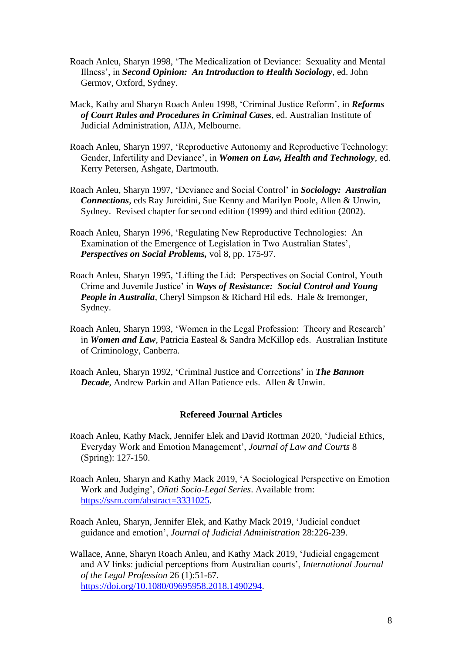- Roach Anleu, Sharyn 1998, 'The Medicalization of Deviance: Sexuality and Mental Illness', in *Second Opinion: An Introduction to Health Sociology*, ed. John Germov, Oxford, Sydney.
- Mack, Kathy and Sharyn Roach Anleu 1998, 'Criminal Justice Reform', in *Reforms of Court Rules and Procedures in Criminal Cases*, ed. Australian Institute of Judicial Administration, AIJA, Melbourne.
- Roach Anleu, Sharyn 1997, 'Reproductive Autonomy and Reproductive Technology: Gender, Infertility and Deviance', in *Women on Law, Health and Technology*, ed. Kerry Petersen, Ashgate, Dartmouth.
- Roach Anleu, Sharyn 1997, 'Deviance and Social Control' in *Sociology: Australian Connections*, eds Ray Jureidini, Sue Kenny and Marilyn Poole, Allen & Unwin, Sydney. Revised chapter for second edition (1999) and third edition (2002).
- Roach Anleu, Sharyn 1996, 'Regulating New Reproductive Technologies: An Examination of the Emergence of Legislation in Two Australian States', *Perspectives on Social Problems,* vol 8, pp. 175-97.
- Roach Anleu, Sharyn 1995, 'Lifting the Lid: Perspectives on Social Control, Youth Crime and Juvenile Justice' in *Ways of Resistance: Social Control and Young People in Australia*, Cheryl Simpson & Richard Hil eds. Hale & Iremonger, Sydney.
- Roach Anleu, Sharyn 1993, 'Women in the Legal Profession: Theory and Research' in *Women and Law*, Patricia Easteal & Sandra McKillop eds. Australian Institute of Criminology, Canberra.
- Roach Anleu, Sharyn 1992, 'Criminal Justice and Corrections' in *The Bannon Decade*, Andrew Parkin and Allan Patience eds. Allen & Unwin.

## **Refereed Journal Articles**

- Roach Anleu, Kathy Mack, Jennifer Elek and David Rottman 2020, 'Judicial Ethics, Everyday Work and Emotion Management', *Journal of Law and Courts* 8 (Spring): 127-150.
- Roach Anleu, Sharyn and Kathy Mack 2019, 'A Sociological Perspective on Emotion Work and Judging', *Oñati Socio-Legal Series*. Available from: [https://ssrn.com/abstract=3331025.](https://ssrn.com/abstract=3331025)
- Roach Anleu, Sharyn, Jennifer Elek, and Kathy Mack 2019, 'Judicial conduct guidance and emotion', *Journal of Judicial Administration* 28:226-239.
- Wallace, Anne, Sharyn Roach Anleu, and Kathy Mack 2019, 'Judicial engagement and AV links: judicial perceptions from Australian courts', *International Journal of the Legal Profession* 26 (1):51-67. [https://doi.org/10.1080/09695958.2018.1490294.](https://doi.org/10.1080/09695958.2018.1490294)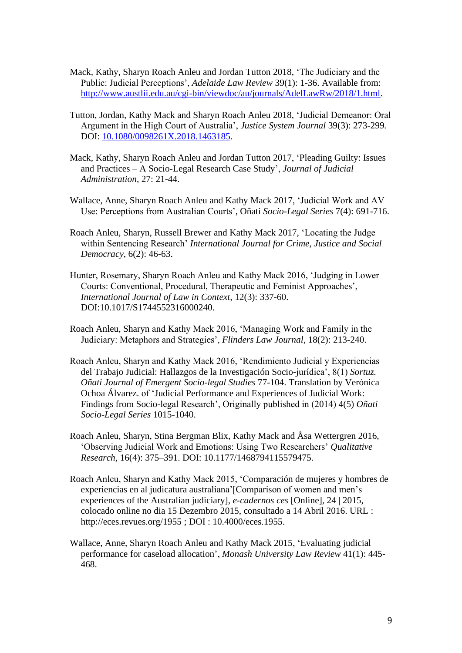- Mack, Kathy, Sharyn Roach Anleu and Jordan Tutton 2018, 'The Judiciary and the Public: Judicial Perceptions', *Adelaide Law Review* 39(1): 1-36. Available from: [http://www.austlii.edu.au/cgi-bin/viewdoc/au/journals/AdelLawRw/2018/1.html.](http://www.austlii.edu.au/cgi-bin/viewdoc/au/journals/AdelLawRw/2018/1.html)
- Tutton, Jordan, Kathy Mack and Sharyn Roach Anleu 2018, 'Judicial Demeanor: Oral Argument in the High Court of Australia', *Justice System Journal* 39(3): 273-299*.*  DOI: [10.1080/0098261X.2018.1463185.](https://doi.org/10.1080/0098261X.2018.1463185)
- Mack, Kathy, Sharyn Roach Anleu and Jordan Tutton 2017, 'Pleading Guilty: Issues and Practices – A Socio-Legal Research Case Study', *Journal of Judicial Administration*, 27: 21-44.
- Wallace, Anne, Sharyn Roach Anleu and Kathy Mack 2017, 'Judicial Work and AV Use: Perceptions from Australian Courts', Oñati *Socio-Legal Series* 7(4): 691-716.
- Roach Anleu, Sharyn, Russell Brewer and Kathy Mack 2017, 'Locating the Judge within Sentencing Research' *International Journal for Crime, Justice and Social Democracy*, 6(2): 46-63.
- Hunter, Rosemary, Sharyn Roach Anleu and Kathy Mack 2016, 'Judging in Lower Courts: Conventional, Procedural, Therapeutic and Feminist Approaches', *International Journal of Law in Context,* 12(3): 337-60. DOI:10.1017/S1744552316000240.
- Roach Anleu, Sharyn and Kathy Mack 2016, 'Managing Work and Family in the Judiciary: Metaphors and Strategies', *Flinders Law Journal*, 18(2): 213-240.
- Roach Anleu, Sharyn and Kathy Mack 2016, 'Rendimiento Judicial y Experiencias del Trabajo Judicial: Hallazgos de la Investigación Socio-jurídica', 8(1) *Sortuz. Oñati Journal of Emergent Socio-legal Studies* 77-104. Translation by Verónica Ochoa Álvarez. of 'Judicial Performance and Experiences of Judicial Work: Findings from Socio-legal Research', Originally published in (2014) 4(5) *Oñati Socio-Legal Series* 1015-1040.
- Roach Anleu, Sharyn, Stina Bergman Blix, Kathy Mack and Åsa Wettergren 2016, 'Observing Judicial Work and Emotions: Using Two Researchers' *Qualitative Research,* 16(4): 375–391. DOI: 10.1177/1468794115579475.
- Roach Anleu, Sharyn and Kathy Mack 2015, 'Comparación de mujeres y hombres de experiencias en al judicatura australiana'[Comparison of women and men's experiences of the Australian judiciary], *e-cadernos ces* [Online], 24 | 2015, colocado online no dia 15 Dezembro 2015, consultado a 14 Abril 2016. URL : http://eces.revues.org/1955 ; DOI : 10.4000/eces.1955.
- Wallace, Anne, Sharyn Roach Anleu and Kathy Mack 2015, 'Evaluating judicial performance for caseload allocation', *Monash University Law Review* 41(1): 445- 468.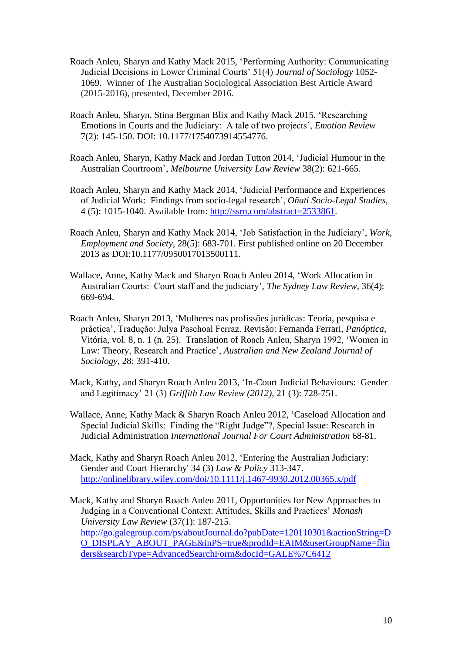- Roach Anleu, Sharyn and Kathy Mack 2015, 'Performing Authority: Communicating Judicial Decisions in Lower Criminal Courts' 51(4) *Journal of Sociology* 1052- 1069. Winner of The Australian Sociological Association Best Article Award (2015-2016), presented, December 2016.
- Roach Anleu, Sharyn, Stina Bergman Blix and Kathy Mack 2015, 'Researching Emotions in Courts and the Judiciary: A tale of two projects', *Emotion Review*  7(2): 145-150. DOI: 10.1177/1754073914554776.
- Roach Anleu, Sharyn, Kathy Mack and Jordan Tutton 2014, 'Judicial Humour in the Australian Courtroom', *Melbourne University Law Review* 38(2): 621-665.
- Roach Anleu, Sharyn and Kathy Mack 2014, 'Judicial Performance and Experiences of Judicial Work: Findings from socio-legal research', *Oñati Socio-Legal Studies,*  4 (5): 1015-1040. Available from: [http://ssrn.com/abstract=2533861.](http://ssrn.com/abstract=2533861)
- Roach Anleu, Sharyn and Kathy Mack 2014, 'Job Satisfaction in the Judiciary', *Work, Employment and Society,* 28(5): 683-701. First published online on 20 December 2013 as DOI:10.1177/0950017013500111.
- Wallace, Anne, Kathy Mack and Sharyn Roach Anleu 2014, 'Work Allocation in Australian Courts: Court staff and the judiciary', *The Sydney Law Review*, 36(4): 669-694.
- Roach Anleu, Sharyn 2013, 'Mulheres nas profissões jurídicas: Teoria, pesquisa e práctica', Tradução: Julya Paschoal Ferraz. Revisão: Fernanda Ferrari, *Panóptica*, Vitória, vol. 8, n. 1 (n. 25). Translation of Roach Anleu, Sharyn 1992, 'Women in Law: Theory, Research and Practice', *Australian and New Zealand Journal of Sociology*, 28: 391-410.
- Mack, Kathy, and Sharyn Roach Anleu 2013, 'In-Court Judicial Behaviours: Gender and Legitimacy' 21 (3) *Griffith Law Review (2012)*, 21 (3): 728-751.
- Wallace, Anne, Kathy Mack & Sharyn Roach Anleu 2012, 'Caseload Allocation and Special Judicial Skills: Finding the "Right Judge"?, Special Issue: Research in Judicial Administration *International Journal For Court Administration* 68-81.
- Mack, Kathy and Sharyn Roach Anleu 2012, 'Entering the Australian Judiciary: Gender and Court Hierarchy' 34 (3) *Law & Policy* 313-347. <http://onlinelibrary.wiley.com/doi/10.1111/j.1467-9930.2012.00365.x/pdf>
- Mack, Kathy and Sharyn Roach Anleu 2011, Opportunities for New Approaches to Judging in a Conventional Context: Attitudes, Skills and Practices' *Monash University Law Review* (37(1): 187-215. [http://go.galegroup.com/ps/aboutJournal.do?pubDate=120110301&actionString=D](http://go.galegroup.com/ps/aboutJournal.do?pubDate=120110301&actionString=DO_DISPLAY_ABOUT_PAGE&inPS=true&prodId=EAIM&userGroupName=flinders&searchType=AdvancedSearchForm&docId=GALE%7C6412) [O\\_DISPLAY\\_ABOUT\\_PAGE&inPS=true&prodId=EAIM&userGroupName=flin](http://go.galegroup.com/ps/aboutJournal.do?pubDate=120110301&actionString=DO_DISPLAY_ABOUT_PAGE&inPS=true&prodId=EAIM&userGroupName=flinders&searchType=AdvancedSearchForm&docId=GALE%7C6412) [ders&searchType=AdvancedSearchForm&docId=GALE%7C6412](http://go.galegroup.com/ps/aboutJournal.do?pubDate=120110301&actionString=DO_DISPLAY_ABOUT_PAGE&inPS=true&prodId=EAIM&userGroupName=flinders&searchType=AdvancedSearchForm&docId=GALE%7C6412)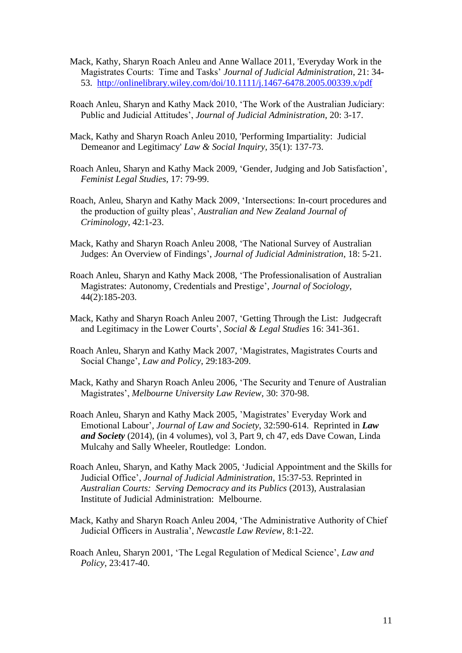- Mack, Kathy, Sharyn Roach Anleu and Anne Wallace 2011, 'Everyday Work in the Magistrates Courts: Time and Tasks' *Journal of Judicial Administration*, 21: 34- 53. <http://onlinelibrary.wiley.com/doi/10.1111/j.1467-6478.2005.00339.x/pdf>
- Roach Anleu, Sharyn and Kathy Mack 2010, 'The Work of the Australian Judiciary: Public and Judicial Attitudes', *Journal of Judicial Administration*, 20: 3-17.
- Mack, Kathy and Sharyn Roach Anleu 2010, 'Performing Impartiality: Judicial Demeanor and Legitimacy' *Law & Social Inquiry*, 35(1): 137-73.
- Roach Anleu, Sharyn and Kathy Mack 2009, 'Gender, Judging and Job Satisfaction', *Feminist Legal Studies*, 17: 79-99.
- Roach, Anleu, Sharyn and Kathy Mack 2009, 'Intersections: In-court procedures and the production of guilty pleas', *Australian and New Zealand Journal of Criminology*, 42:1-23.
- Mack, Kathy and Sharyn Roach Anleu 2008, 'The National Survey of Australian Judges: An Overview of Findings', *Journal of Judicial Administration*, 18: 5-21.
- Roach Anleu, Sharyn and Kathy Mack 2008, 'The Professionalisation of Australian Magistrates: Autonomy, Credentials and Prestige', *Journal of Sociology*, 44(2):185-203.
- Mack, Kathy and Sharyn Roach Anleu 2007, 'Getting Through the List: Judgecraft and Legitimacy in the Lower Courts', *Social & Legal Studies* 16: 341-361.
- Roach Anleu, Sharyn and Kathy Mack 2007, 'Magistrates, Magistrates Courts and Social Change', *Law and Policy*, 29:183-209.
- Mack, Kathy and Sharyn Roach Anleu 2006, 'The Security and Tenure of Australian Magistrates', *Melbourne University Law Review*, 30: 370-98.
- Roach Anleu, Sharyn and Kathy Mack 2005, 'Magistrates' Everyday Work and Emotional Labour'*, Journal of Law and Society*, 32:590-614. Reprinted in *Law and Society* (2014), (in 4 volumes), vol 3, Part 9, ch 47, eds Dave Cowan, Linda Mulcahy and Sally Wheeler, Routledge: London.
- Roach Anleu, Sharyn, and Kathy Mack 2005, 'Judicial Appointment and the Skills for Judicial Office', *Journal of Judicial Administration,* 15:37-53. Reprinted in *Australian Courts: Serving Democracy and its Publics* (2013), Australasian Institute of Judicial Administration: Melbourne.
- Mack, Kathy and Sharyn Roach Anleu 2004, 'The Administrative Authority of Chief Judicial Officers in Australia', *Newcastle Law Review*, 8:1-22.
- Roach Anleu, Sharyn 2001, 'The Legal Regulation of Medical Science', *Law and Policy*, 23:417-40.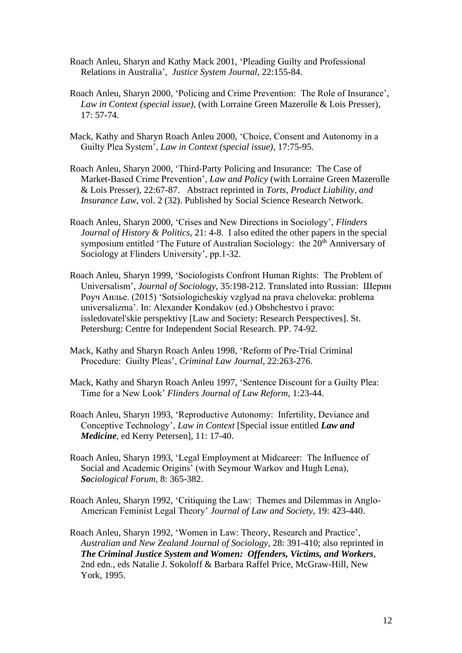- Roach Anleu, Sharyn and Kathy Mack 2001, 'Pleading Guilty and Professional Relations in Australia', *Justice System Journal*, 22:155-84.
- Roach Anleu, Sharyn 2000, 'Policing and Crime Prevention: The Role of Insurance', *Law in Context (special issue),* (with Lorraine Green Mazerolle & Lois Presser), 17: 57-74.
- Mack, Kathy and Sharyn Roach Anleu 2000, 'Choice, Consent and Autonomy in a Guilty Plea System', *Law in Context (special issue)*, 17:75-95.
- Roach Anleu, Sharyn 2000, 'Third-Party Policing and Insurance: The Case of Market-Based Crime Prevention', *Law and Policy* (with Lorraine Green Mazerolle & Lois Presser), 22:67-87. Abstract reprinted in *Torts, Product Liability, and Insurance Law*, vol. 2 (32). Published by Social Science Research Network.
- Roach Anleu, Sharyn 2000, 'Crises and New Directions in Sociology', *Flinders Journal of History & Politics*, 21: 4-8. I also edited the other papers in the special symposium entitled 'The Future of Australian Sociology: the 20<sup>th</sup> Anniversary of Sociology at Flinders University', pp.1-32.
- Roach Anleu, Sharyn 1999, 'Sociologists Confront Human Rights: The Problem of Universalism', *Journal of Sociology*, 35:198-212. Translated into Russian: Шерин Роуч Анлье. (2015) 'Sotsiologicheskiy vzglyad na prava cheloveka: problema universalizma'. In: Alexander Kondakov (ed.) Obshchestvo i pravo: issledovatel'skie perspektivy [Law and Society: Research Perspectives]. St. Petersburg: Centre for Independent Social Research. PP. 74-92.
- Mack, Kathy and Sharyn Roach Anleu 1998, 'Reform of Pre-Trial Criminal Procedure: Guilty Pleas', *Criminal Law Journal*, 22:263-276.
- Mack, Kathy and Sharyn Roach Anleu 1997, 'Sentence Discount for a Guilty Plea: Time for a New Look' *Flinders Journal of Law Reform*, 1:23-44.
- Roach Anleu, Sharyn 1993, 'Reproductive Autonomy: Infertility, Deviance and Conceptive Technology', *Law in Context* [Special issue entitled *Law and Medicine*, ed Kerry Petersen], 11: 17-40.
- Roach Anleu, Sharyn 1993, 'Legal Employment at Midcareer: The Influence of Social and Academic Origins' (with Seymour Warkov and Hugh Lena), *Sociological Forum*, 8: 365-382.
- Roach Anleu, Sharyn 1992, 'Critiquing the Law: Themes and Dilemmas in Anglo-American Feminist Legal Theory' *Journal of Law and Society*, 19: 423-440.
- Roach Anleu, Sharyn 1992, 'Women in Law: Theory, Research and Practice', *Australian and New Zealand Journal of Sociology*, 28: 391-410; also reprinted in *The Criminal Justice System and Women: Offenders, Victims, and Workers*, 2nd edn., eds Natalie J. Sokoloff & Barbara Raffel Price, McGraw-Hill, New York, 1995.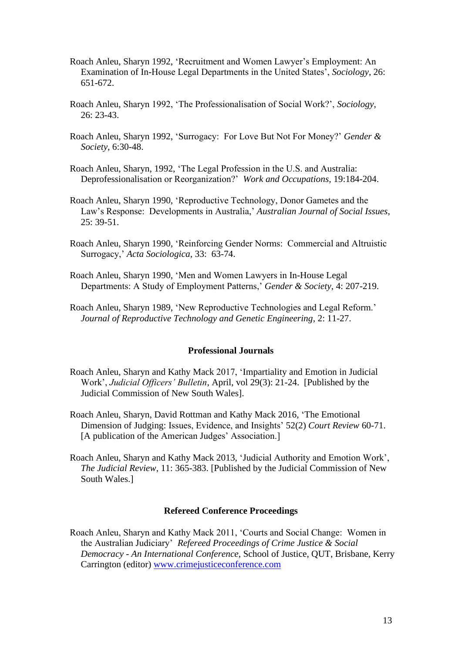- Roach Anleu, Sharyn 1992, 'Recruitment and Women Lawyer's Employment: An Examination of In-House Legal Departments in the United States', *Sociology*, 26: 651-672.
- Roach Anleu, Sharyn 1992, 'The Professionalisation of Social Work?', *Sociology*, 26: 23-43.
- Roach Anleu, Sharyn 1992, 'Surrogacy: For Love But Not For Money?' *Gender & Society*, 6:30-48.
- Roach Anleu, Sharyn, 1992, 'The Legal Profession in the U.S. and Australia: Deprofessionalisation or Reorganization?' *Work and Occupations*, 19:184-204.
- Roach Anleu, Sharyn 1990, 'Reproductive Technology, Donor Gametes and the Law's Response: Developments in Australia,' *Australian Journal of Social Issues*,  $25: 39-51.$
- Roach Anleu, Sharyn 1990, 'Reinforcing Gender Norms: Commercial and Altruistic Surrogacy,' *Acta Sociologica*, 33: 63-74.
- Roach Anleu, Sharyn 1990, 'Men and Women Lawyers in In-House Legal Departments: A Study of Employment Patterns,' *Gender & Society*, 4: 207-219.

Roach Anleu, Sharyn 1989, 'New Reproductive Technologies and Legal Reform.' *Journal of Reproductive Technology and Genetic Engineering*, 2: 11-27.

#### **Professional Journals**

- Roach Anleu, Sharyn and Kathy Mack 2017, 'Impartiality and Emotion in Judicial Work', *Judicial Officers' Bulletin*, April, vol 29(3): 21-24. [Published by the Judicial Commission of New South Wales].
- Roach Anleu, Sharyn, David Rottman and Kathy Mack 2016, 'The Emotional Dimension of Judging: Issues, Evidence, and Insights' 52(2) *Court Review* 60-71. [A publication of the American Judges' Association.]
- Roach Anleu, Sharyn and Kathy Mack 2013, 'Judicial Authority and Emotion Work', *The Judicial Review*, 11: 365-383. [Published by the Judicial Commission of New South Wales.]

#### **Refereed Conference Proceedings**

Roach Anleu, Sharyn and Kathy Mack 2011, 'Courts and Social Change: Women in the Australian Judiciary' *Refereed Proceedings of Crime Justice & Social Democracy - An International Conference*, School of Justice, QUT, Brisbane, Kerry Carrington (editor) [www.crimejusticeconference.com](http://www.crimejusticeconference.com/)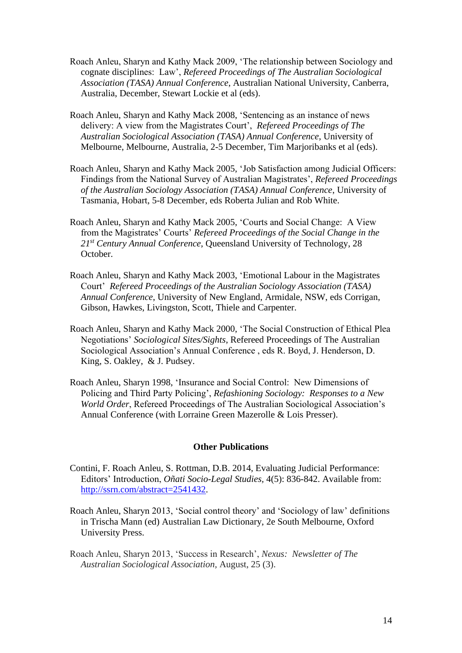- Roach Anleu, Sharyn and Kathy Mack 2009, 'The relationship between Sociology and cognate disciplines: Law', *Refereed Proceedings of The Australian Sociological Association (TASA) Annual Conference*, Australian National University, Canberra, Australia, December, Stewart Lockie et al (eds).
- Roach Anleu, Sharyn and Kathy Mack 2008, 'Sentencing as an instance of news delivery: A view from the Magistrates Court', *Refereed Proceedings of The Australian Sociological Association (TASA) Annual Conference*, University of Melbourne, Melbourne, Australia, 2-5 December, Tim Marjoribanks et al (eds).
- Roach Anleu, Sharyn and Kathy Mack 2005, 'Job Satisfaction among Judicial Officers: Findings from the National Survey of Australian Magistrates', *Refereed Proceedings of the Australian Sociology Association (TASA) Annual Conference*, University of Tasmania, Hobart, 5-8 December, eds Roberta Julian and Rob White.
- Roach Anleu, Sharyn and Kathy Mack 2005, 'Courts and Social Change: A View from the Magistrates' Courts' *Refereed Proceedings of the Social Change in the 21st Century Annual Conference*, Queensland University of Technology, 28 October.
- Roach Anleu, Sharyn and Kathy Mack 2003, 'Emotional Labour in the Magistrates Court' *Refereed Proceedings of the Australian Sociology Association (TASA) Annual Conference*, University of New England, Armidale, NSW, eds Corrigan, Gibson, Hawkes, Livingston, Scott, Thiele and Carpenter.
- Roach Anleu, Sharyn and Kathy Mack 2000, 'The Social Construction of Ethical Plea Negotiations' *Sociological Sites/Sights*, Refereed Proceedings of The Australian Sociological Association's Annual Conference , eds R. Boyd, J. Henderson, D. King, S. Oakley, & J. Pudsey.
- Roach Anleu, Sharyn 1998, 'Insurance and Social Control: New Dimensions of Policing and Third Party Policing', *Refashioning Sociology: Responses to a New World Order*, Refereed Proceedings of The Australian Sociological Association's Annual Conference (with Lorraine Green Mazerolle & Lois Presser).

## **Other Publications**

- Contini, F. Roach Anleu, S. Rottman, D.B. 2014, Evaluating Judicial Performance: Editors' Introduction, *Oñati Socio-Legal Studies,* 4(5): 836-842. Available from: [http://ssrn.com/abstract=2541432.](http://ssrn.com/abstract=2541432)
- Roach Anleu, Sharyn 2013, 'Social control theory' and 'Sociology of law' definitions in Trischa Mann (ed) Australian Law Dictionary, 2e South Melbourne, Oxford University Press.
- Roach Anleu, Sharyn 2013, 'Success in Research', *Nexus: Newsletter of The Australian Sociological Association,* August, 25 (3).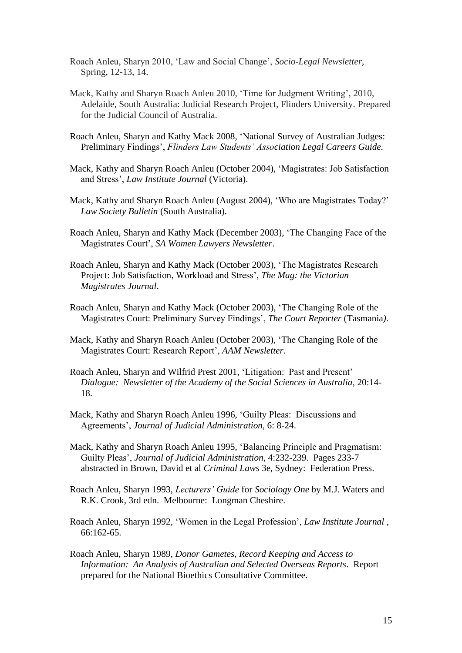- Roach Anleu, Sharyn 2010, 'Law and Social Change', *Socio-Legal Newsletter*, Spring, 12-13, 14.
- Mack, Kathy and Sharyn Roach Anleu 2010, 'Time for Judgment Writing', 2010, Adelaide, South Australia: Judicial Research Project, Flinders University. Prepared for the Judicial Council of Australia.
- Roach Anleu, Sharyn and Kathy Mack 2008, 'National Survey of Australian Judges: Preliminary Findings', *Flinders Law Students' Association Legal Careers Guide.*
- Mack, Kathy and Sharyn Roach Anleu (October 2004), 'Magistrates: Job Satisfaction and Stress', *Law Institute Journal* (Victoria).
- Mack, Kathy and Sharyn Roach Anleu (August 2004), 'Who are Magistrates Today?' *Law Society Bulletin* (South Australia).
- Roach Anleu, Sharyn and Kathy Mack (December 2003), 'The Changing Face of the Magistrates Court', *SA Women Lawyers Newsletter*.
- Roach Anleu, Sharyn and Kathy Mack (October 2003), 'The Magistrates Research Project: Job Satisfaction, Workload and Stress', *The Mag: the Victorian Magistrates Journal*.
- Roach Anleu, Sharyn and Kathy Mack (October 2003), 'The Changing Role of the Magistrates Court: Preliminary Survey Findings', *The Court Reporter* (Tasmania*)*.
- Mack, Kathy and Sharyn Roach Anleu (October 2003), 'The Changing Role of the Magistrates Court: Research Report', *AAM Newsletter*.
- Roach Anleu, Sharyn and Wilfrid Prest 2001, 'Litigation: Past and Present' *Dialogue: Newsletter of the Academy of the Social Sciences in Australia,* 20:14- 18.
- Mack, Kathy and Sharyn Roach Anleu 1996, 'Guilty Pleas: Discussions and Agreements', *Journal of Judicial Administration*, 6: 8-24.
- Mack, Kathy and Sharyn Roach Anleu 1995, 'Balancing Principle and Pragmatism: Guilty Pleas', *Journal of Judicial Administration*, 4:232-239. Pages 233-7 abstracted in Brown, David et al *Criminal Laws* 3e, Sydney: Federation Press.
- Roach Anleu, Sharyn 1993, *Lecturers' Guide* for *Sociology One* by M.J. Waters and R.K. Crook, 3rd edn. Melbourne: Longman Cheshire.
- Roach Anleu, Sharyn 1992, 'Women in the Legal Profession', *Law Institute Journal* , 66:162-65.
- Roach Anleu, Sharyn 1989, *Donor Gametes, Record Keeping and Access to Information: An Analysis of Australian and Selected Overseas Reports*. Report prepared for the National Bioethics Consultative Committee.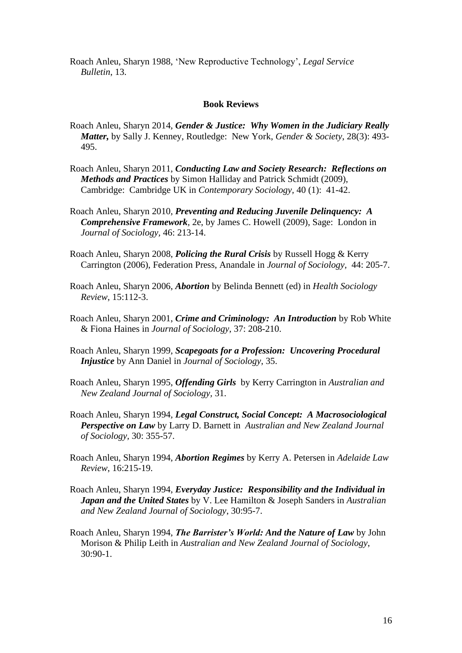Roach Anleu, Sharyn 1988, 'New Reproductive Technology', *Legal Service Bulletin*, 13.

#### **Book Reviews**

- Roach Anleu, Sharyn 2014, *Gender & Justice: Why Women in the Judiciary Really Matter,* by Sally J. Kenney, Routledge: New York, *Gender & Society*, 28(3): 493- 495.
- Roach Anleu, Sharyn 2011, *Conducting Law and Society Research: Reflections on Methods and Practices* by Simon Halliday and Patrick Schmidt (2009), Cambridge: Cambridge UK in *Contemporary Sociology,* 40 (1): 41-42.
- Roach Anleu, Sharyn 2010, *Preventing and Reducing Juvenile Delinquency: A Comprehensive Framework,* 2e, by James C. Howell (2009), Sage: London in *Journal of Sociology,* 46: 213-14.
- Roach Anleu, Sharyn 2008, *Policing the Rural Crisis* by Russell Hogg & Kerry Carrington (2006), Federation Press, Anandale in *Journal of Sociology,* 44: 205-7.
- Roach Anleu, Sharyn 2006, *Abortion* by Belinda Bennett (ed) in *Health Sociology Review*, 15:112-3.
- Roach Anleu, Sharyn 2001, *Crime and Criminology: An Introduction* by Rob White & Fiona Haines in *Journal of Sociology*, 37: 208-210.
- Roach Anleu, Sharyn 1999, *Scapegoats for a Profession: Uncovering Procedural Injustice* by Ann Daniel in *Journal of Sociology*, 35.
- Roach Anleu, Sharyn 1995, *Offending Girls* by Kerry Carrington in *Australian and New Zealand Journal of Sociology,* 31.
- Roach Anleu, Sharyn 1994*, Legal Construct, Social Concept: A Macrosociological Perspective on Law* by Larry D. Barnett in *Australian and New Zealand Journal of Sociology,* 30: 355-57.
- Roach Anleu, Sharyn 1994, *Abortion Regimes* by Kerry A. Petersen in *Adelaide Law Review*, 16:215-19.
- Roach Anleu, Sharyn 1994, *Everyday Justice: Responsibility and the Individual in Japan and the United States* by V. Lee Hamilton & Joseph Sanders in *Australian and New Zealand Journal of Sociology*, 30:95-7.
- Roach Anleu, Sharyn 1994, *The Barrister's World: And the Nature of Law* by John Morison & Philip Leith in *Australian and New Zealand Journal of Sociology*, 30:90-1.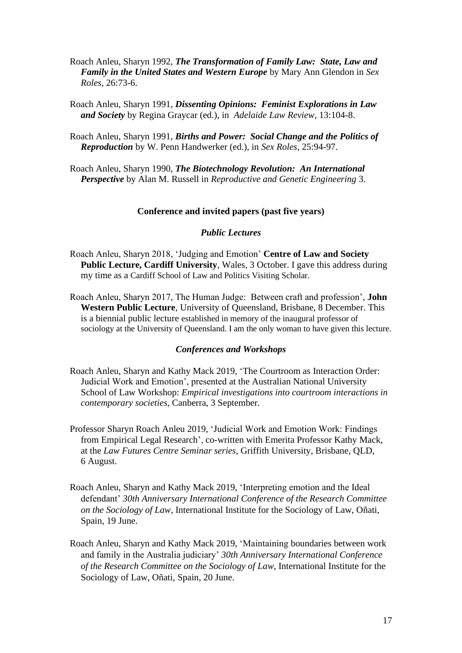Roach Anleu, Sharyn 1992, *The Transformation of Family Law: State, Law and Family in the United States and Western Europe* by Mary Ann Glendon in *Sex Roles*, 26:73-6.

Roach Anleu, Sharyn 1991, *Dissenting Opinions: Feminist Explorations in Law and Society* by Regina Graycar (ed.), in *Adelaide Law Review*, 13:104-8.

Roach Anleu, Sharyn 1991, *Births and Power: Social Change and the Politics of Reproduction* by W. Penn Handwerker (ed.), in *Sex Roles*, 25:94-97.

Roach Anleu, Sharyn 1990, *The Biotechnology Revolution: An International Perspective* by Alan M. Russell in *Reproductive and Genetic Engineering* 3.

#### **Conference and invited papers (past five years)**

#### *Public Lectures*

- Roach Anleu, Sharyn 2018, 'Judging and Emotion' **Centre of Law and Society Public Lecture, Cardiff University**, Wales, 3 October. I gave this address during my time as a Cardiff School of Law and Politics Visiting Scholar.
- Roach Anleu, Sharyn 2017, The Human Judge: Between craft and profession', **John Western Public Lecture**, University of Queensland, Brisbane, 8 December. This is a biennial public lecture established in memory of the inaugural professor of sociology at the University of Queensland. I am the only woman to have given this lecture.

#### *Conferences and Workshops*

- Roach Anleu, Sharyn and Kathy Mack 2019, 'The Courtroom as Interaction Order: Judicial Work and Emotion', presented at the Australian National University School of Law Workshop: *Empirical investigations into courtroom interactions in contemporary societies*, Canberra, 3 September.
- Professor Sharyn Roach Anleu 2019, 'Judicial Work and Emotion Work: Findings from Empirical Legal Research', co-written with Emerita Professor Kathy Mack, at the *Law Futures Centre Seminar series*, Griffith University, Brisbane, QLD, 6 August.
- Roach Anleu, Sharyn and Kathy Mack 2019, 'Interpreting emotion and the Ideal defendant' *30th Anniversary International Conference of the Research Committee on the Sociology of Law*, International Institute for the Sociology of Law, Oñati, Spain, 19 June.
- Roach Anleu, Sharyn and Kathy Mack 2019, 'Maintaining boundaries between work and family in the Australia judiciary' *30th Anniversary International Conference of the Research Committee on the Sociology of Law*, International Institute for the Sociology of Law, Oñati, Spain, 20 June.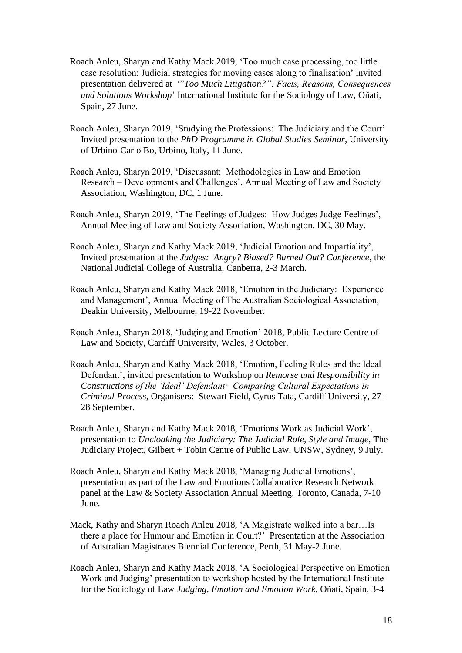- Roach Anleu, Sharyn and Kathy Mack 2019, 'Too much case processing, too little case resolution: Judicial strategies for moving cases along to finalisation' invited presentation delivered at '"*Too Much Litigation?": Facts, Reasons, Consequences and Solutions Workshop*' International Institute for the Sociology of Law, Oñati, Spain, 27 June.
- Roach Anleu, Sharyn 2019, 'Studying the Professions: The Judiciary and the Court' Invited presentation to the *PhD Programme in Global Studies Seminar*, University of Urbino-Carlo Bo, Urbino, Italy, 11 June.
- Roach Anleu, Sharyn 2019, 'Discussant: Methodologies in Law and Emotion Research – Developments and Challenges', Annual Meeting of Law and Society Association, Washington, DC, 1 June.
- Roach Anleu, Sharyn 2019, 'The Feelings of Judges: How Judges Judge Feelings', Annual Meeting of Law and Society Association, Washington, DC, 30 May.
- Roach Anleu, Sharyn and Kathy Mack 2019, 'Judicial Emotion and Impartiality', Invited presentation at the *Judges: Angry? Biased? Burned Out? Conference*, the National Judicial College of Australia, Canberra, 2-3 March.
- Roach Anleu, Sharyn and Kathy Mack 2018, 'Emotion in the Judiciary: Experience and Management', Annual Meeting of The Australian Sociological Association, Deakin University, Melbourne, 19-22 November.
- Roach Anleu, Sharyn 2018, 'Judging and Emotion' 2018, Public Lecture Centre of Law and Society, Cardiff University, Wales, 3 October.
- Roach Anleu, Sharyn and Kathy Mack 2018, 'Emotion, Feeling Rules and the Ideal Defendant', invited presentation to Workshop on *Remorse and Responsibility in Constructions of the 'Ideal' Defendant: Comparing Cultural Expectations in Criminal Process*, Organisers: Stewart Field, Cyrus Tata, Cardiff University, 27- 28 September.
- Roach Anleu, Sharyn and Kathy Mack 2018, 'Emotions Work as Judicial Work', presentation to *Uncloaking the Judiciary: The Judicial Role, Style and Image,* The Judiciary Project, Gilbert + Tobin Centre of Public Law, UNSW, Sydney, 9 July.
- Roach Anleu, Sharyn and Kathy Mack 2018, 'Managing Judicial Emotions', presentation as part of the Law and Emotions Collaborative Research Network panel at the Law & Society Association Annual Meeting, Toronto, Canada, 7-10 June.
- Mack, Kathy and Sharyn Roach Anleu 2018, 'A Magistrate walked into a bar…Is there a place for Humour and Emotion in Court?' Presentation at the Association of Australian Magistrates Biennial Conference, Perth, 31 May-2 June.
- Roach Anleu, Sharyn and Kathy Mack 2018, 'A Sociological Perspective on Emotion Work and Judging' presentation to workshop hosted by the International Institute for the Sociology of Law *Judging, Emotion and Emotion Work*, Oñati, Spain, 3-4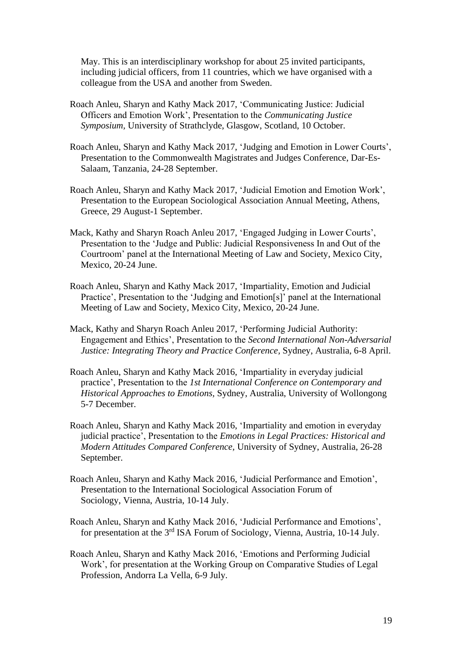May. This is an interdisciplinary workshop for about 25 invited participants, including judicial officers, from 11 countries, which we have organised with a colleague from the USA and another from Sweden.

- Roach Anleu, Sharyn and Kathy Mack 2017, 'Communicating Justice: Judicial Officers and Emotion Work', Presentation to the *Communicating Justice Symposium,* University of Strathclyde, Glasgow, Scotland, 10 October.
- Roach Anleu, Sharyn and Kathy Mack 2017, 'Judging and Emotion in Lower Courts', Presentation to the Commonwealth Magistrates and Judges Conference, Dar-Es-Salaam, Tanzania, 24-28 September.
- Roach Anleu, Sharyn and Kathy Mack 2017, 'Judicial Emotion and Emotion Work', Presentation to the European Sociological Association Annual Meeting, Athens, Greece, 29 August-1 September.
- Mack, Kathy and Sharyn Roach Anleu 2017, 'Engaged Judging in Lower Courts', Presentation to the 'Judge and Public: Judicial Responsiveness In and Out of the Courtroom' panel at the International Meeting of Law and Society, Mexico City, Mexico, 20-24 June.
- Roach Anleu, Sharyn and Kathy Mack 2017, 'Impartiality, Emotion and Judicial Practice', Presentation to the 'Judging and Emotion[s]' panel at the International Meeting of Law and Society, Mexico City, Mexico, 20-24 June.
- Mack, Kathy and Sharyn Roach Anleu 2017, 'Performing Judicial Authority: Engagement and Ethics', Presentation to the *Second International Non-Adversarial Justice: Integrating Theory and Practice Conference,* Sydney, Australia, 6-8 April.
- Roach Anleu, Sharyn and Kathy Mack 2016, 'Impartiality in everyday judicial practice', Presentation to the *1st International Conference on Contemporary and Historical Approaches to Emotions,* Sydney, Australia, University of Wollongong 5-7 December.
- Roach Anleu, Sharyn and Kathy Mack 2016, 'Impartiality and emotion in everyday judicial practice', Presentation to the *Emotions in Legal Practices: Historical and Modern Attitudes Compared Conference,* University of Sydney, Australia, 26-28 September.
- Roach Anleu, Sharyn and Kathy Mack 2016, 'Judicial Performance and Emotion', Presentation to the International Sociological Association Forum of Sociology, Vienna, Austria, 10-14 July.
- Roach Anleu, Sharyn and Kathy Mack 2016, 'Judicial Performance and Emotions', for presentation at the 3rd ISA Forum of Sociology, Vienna, Austria, 10-14 July.
- Roach Anleu, Sharyn and Kathy Mack 2016, 'Emotions and Performing Judicial Work', for presentation at the Working Group on Comparative Studies of Legal Profession, Andorra La Vella, 6-9 July.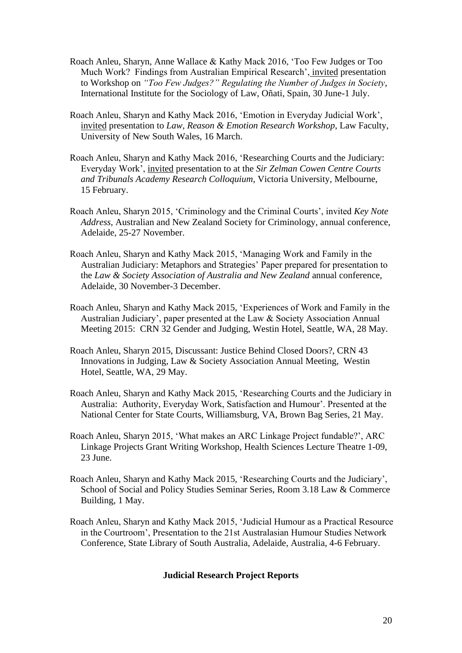- Roach Anleu, Sharyn, Anne Wallace & Kathy Mack 2016, 'Too Few Judges or Too Much Work? Findings from Australian Empirical Research', invited presentation to Workshop on *"Too Few Judges?" Regulating the Number of Judges in Society*, International Institute for the Sociology of Law, Oñati, Spain, 30 June-1 July.
- Roach Anleu, Sharyn and Kathy Mack 2016, 'Emotion in Everyday Judicial Work', invited presentation to *Law, Reason & Emotion Research Workshop*, Law Faculty, University of New South Wales, 16 March.
- Roach Anleu, Sharyn and Kathy Mack 2016, 'Researching Courts and the Judiciary: Everyday Work', invited presentation to at the *Sir Zelman Cowen Centre Courts and Tribunals Academy Research Colloquium*, Victoria University, Melbourne, 15 February.
- Roach Anleu, Sharyn 2015, 'Criminology and the Criminal Courts', invited *Key Note Address*, Australian and New Zealand Society for Criminology, annual conference, Adelaide, 25-27 November.
- Roach Anleu, Sharyn and Kathy Mack 2015, 'Managing Work and Family in the Australian Judiciary: Metaphors and Strategies' Paper prepared for presentation to the *Law & Society Association of Australia and New Zealand* annual conference, Adelaide, 30 November-3 December.
- Roach Anleu, Sharyn and Kathy Mack 2015, 'Experiences of Work and Family in the Australian Judiciary', paper presented at the Law & Society Association Annual Meeting 2015: CRN 32 Gender and Judging, Westin Hotel, Seattle, WA, 28 May.
- Roach Anleu, Sharyn 2015, Discussant: Justice Behind Closed Doors?, CRN 43 Innovations in Judging, Law & Society Association Annual Meeting, Westin Hotel, Seattle, WA, 29 May.
- Roach Anleu, Sharyn and Kathy Mack 2015, 'Researching Courts and the Judiciary in Australia: Authority, Everyday Work, Satisfaction and Humour'. Presented at the National Center for State Courts, Williamsburg, VA, Brown Bag Series, 21 May.
- Roach Anleu, Sharyn 2015, 'What makes an ARC Linkage Project fundable?', ARC Linkage Projects Grant Writing Workshop, Health Sciences Lecture Theatre 1-09, 23 June.
- Roach Anleu, Sharyn and Kathy Mack 2015, 'Researching Courts and the Judiciary', School of Social and Policy Studies Seminar Series, Room 3.18 Law & Commerce Building, 1 May.
- Roach Anleu, Sharyn and Kathy Mack 2015, 'Judicial Humour as a Practical Resource in the Courtroom', Presentation to the 21st Australasian Humour Studies Network Conference, State Library of South Australia, Adelaide, Australia, 4-6 February.

## **Judicial Research Project Reports**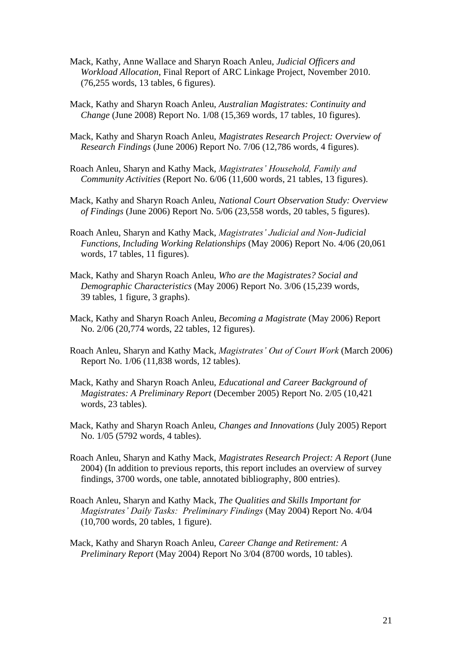- Mack, Kathy, Anne Wallace and Sharyn Roach Anleu, *Judicial Officers and Workload Allocation*, Final Report of ARC Linkage Project, November 2010. (76,255 words, 13 tables, 6 figures).
- Mack, Kathy and Sharyn Roach Anleu, *Australian Magistrates: Continuity and Change* (June 2008) Report No. 1/08 (15,369 words, 17 tables, 10 figures).
- Mack, Kathy and Sharyn Roach Anleu, *Magistrates Research Project: Overview of Research Findings* (June 2006) Report No. 7/06 (12,786 words, 4 figures).
- Roach Anleu, Sharyn and Kathy Mack, *Magistrates' Household, Family and Community Activities* (Report No. 6/06 (11,600 words, 21 tables, 13 figures).
- Mack, Kathy and Sharyn Roach Anleu, *National Court Observation Study: Overview of Findings* (June 2006) Report No. 5/06 (23,558 words, 20 tables, 5 figures).
- Roach Anleu, Sharyn and Kathy Mack, *Magistrates' Judicial and Non-Judicial Functions, Including Working Relationships* (May 2006) Report No. 4/06 (20,061 words, 17 tables, 11 figures).
- Mack, Kathy and Sharyn Roach Anleu, *Who are the Magistrates? Social and Demographic Characteristics* (May 2006) Report No. 3/06 (15,239 words, 39 tables, 1 figure, 3 graphs).
- Mack, Kathy and Sharyn Roach Anleu, *Becoming a Magistrate* (May 2006) Report No. 2/06 (20,774 words, 22 tables, 12 figures).
- Roach Anleu, Sharyn and Kathy Mack, *Magistrates' Out of Court Work* (March 2006) Report No. 1/06 (11,838 words, 12 tables).
- Mack, Kathy and Sharyn Roach Anleu, *Educational and Career Background of Magistrates: A Preliminary Report* (December 2005) Report No. 2/05 (10,421 words, 23 tables).
- Mack, Kathy and Sharyn Roach Anleu, *Changes and Innovations* (July 2005) Report No. 1/05 (5792 words, 4 tables).
- Roach Anleu, Sharyn and Kathy Mack, *Magistrates Research Project: A Report* (June 2004) (In addition to previous reports, this report includes an overview of survey findings, 3700 words, one table, annotated bibliography, 800 entries).
- Roach Anleu, Sharyn and Kathy Mack, *The Qualities and Skills Important for Magistrates' Daily Tasks: Preliminary Findings* (May 2004) Report No. 4/04 (10,700 words, 20 tables, 1 figure).
- Mack, Kathy and Sharyn Roach Anleu, *Career Change and Retirement: A Preliminary Report* (May 2004) Report No 3/04 (8700 words, 10 tables).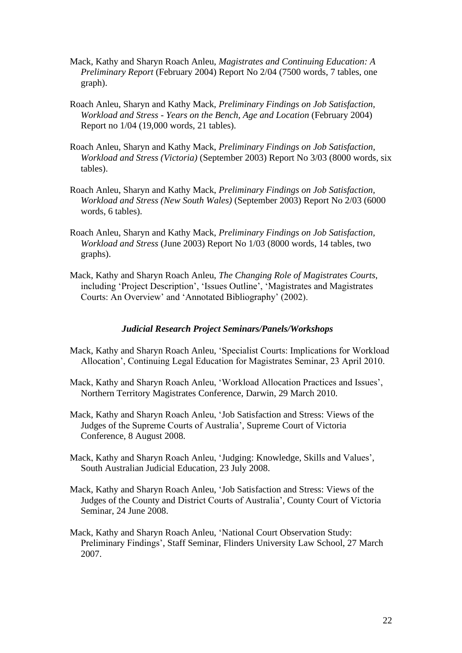- Mack, Kathy and Sharyn Roach Anleu, *Magistrates and Continuing Education: A Preliminary Report* (February 2004) Report No 2/04 (7500 words, 7 tables, one graph).
- Roach Anleu, Sharyn and Kathy Mack, *Preliminary Findings on Job Satisfaction, Workload and Stress - Years on the Bench, Age and Location* (February 2004) Report no 1/04 (19,000 words, 21 tables).
- Roach Anleu, Sharyn and Kathy Mack, *Preliminary Findings on Job Satisfaction, Workload and Stress (Victoria)* (September 2003) Report No 3/03 (8000 words, six tables).
- Roach Anleu, Sharyn and Kathy Mack, *Preliminary Findings on Job Satisfaction, Workload and Stress (New South Wales)* (September 2003) Report No 2/03 (6000 words, 6 tables).
- Roach Anleu, Sharyn and Kathy Mack, *Preliminary Findings on Job Satisfaction, Workload and Stress* (June 2003) Report No 1/03 (8000 words, 14 tables, two graphs).
- Mack, Kathy and Sharyn Roach Anleu, *The Changing Role of Magistrates Courts*, including 'Project Description', 'Issues Outline', 'Magistrates and Magistrates Courts: An Overview' and 'Annotated Bibliography' (2002).

#### *Judicial Research Project Seminars/Panels/Workshops*

- Mack, Kathy and Sharyn Roach Anleu, 'Specialist Courts: Implications for Workload Allocation', Continuing Legal Education for Magistrates Seminar, 23 April 2010.
- Mack, Kathy and Sharyn Roach Anleu, 'Workload Allocation Practices and Issues', Northern Territory Magistrates Conference, Darwin, 29 March 2010.
- Mack, Kathy and Sharyn Roach Anleu, 'Job Satisfaction and Stress: Views of the Judges of the Supreme Courts of Australia', Supreme Court of Victoria Conference, 8 August 2008.
- Mack, Kathy and Sharyn Roach Anleu, 'Judging: Knowledge, Skills and Values', South Australian Judicial Education, 23 July 2008.
- Mack, Kathy and Sharyn Roach Anleu, 'Job Satisfaction and Stress: Views of the Judges of the County and District Courts of Australia', County Court of Victoria Seminar, 24 June 2008.
- Mack, Kathy and Sharyn Roach Anleu, 'National Court Observation Study: Preliminary Findings', Staff Seminar, Flinders University Law School, 27 March 2007.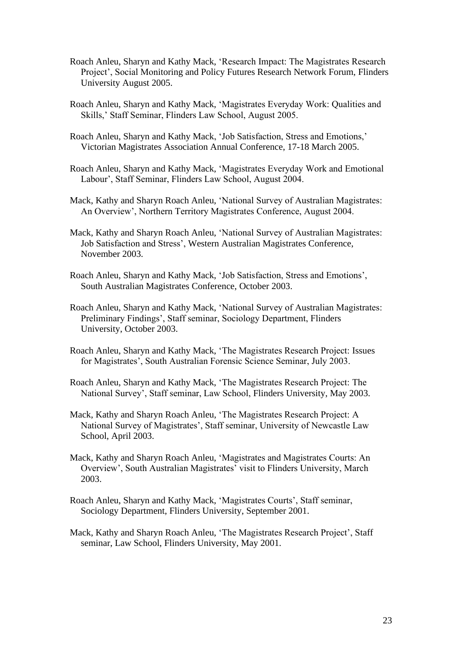- Roach Anleu, Sharyn and Kathy Mack, 'Research Impact: The Magistrates Research Project', Social Monitoring and Policy Futures Research Network Forum, Flinders University August 2005.
- Roach Anleu, Sharyn and Kathy Mack, 'Magistrates Everyday Work: Qualities and Skills,' Staff Seminar, Flinders Law School, August 2005.
- Roach Anleu, Sharyn and Kathy Mack, 'Job Satisfaction, Stress and Emotions,' Victorian Magistrates Association Annual Conference, 17-18 March 2005.
- Roach Anleu, Sharyn and Kathy Mack, 'Magistrates Everyday Work and Emotional Labour', Staff Seminar, Flinders Law School, August 2004.
- Mack, Kathy and Sharyn Roach Anleu, 'National Survey of Australian Magistrates: An Overview', Northern Territory Magistrates Conference, August 2004.
- Mack, Kathy and Sharyn Roach Anleu, 'National Survey of Australian Magistrates: Job Satisfaction and Stress', Western Australian Magistrates Conference, November 2003.
- Roach Anleu, Sharyn and Kathy Mack, 'Job Satisfaction, Stress and Emotions', South Australian Magistrates Conference, October 2003.
- Roach Anleu, Sharyn and Kathy Mack, 'National Survey of Australian Magistrates: Preliminary Findings', Staff seminar, Sociology Department, Flinders University, October 2003.
- Roach Anleu, Sharyn and Kathy Mack, 'The Magistrates Research Project: Issues for Magistrates', South Australian Forensic Science Seminar, July 2003.
- Roach Anleu, Sharyn and Kathy Mack, 'The Magistrates Research Project: The National Survey', Staff seminar, Law School, Flinders University, May 2003.
- Mack, Kathy and Sharyn Roach Anleu, 'The Magistrates Research Project: A National Survey of Magistrates', Staff seminar, University of Newcastle Law School, April 2003.
- Mack, Kathy and Sharyn Roach Anleu, 'Magistrates and Magistrates Courts: An Overview', South Australian Magistrates' visit to Flinders University, March 2003.
- Roach Anleu, Sharyn and Kathy Mack, 'Magistrates Courts', Staff seminar, Sociology Department, Flinders University, September 2001.
- Mack, Kathy and Sharyn Roach Anleu, 'The Magistrates Research Project', Staff seminar, Law School, Flinders University, May 2001.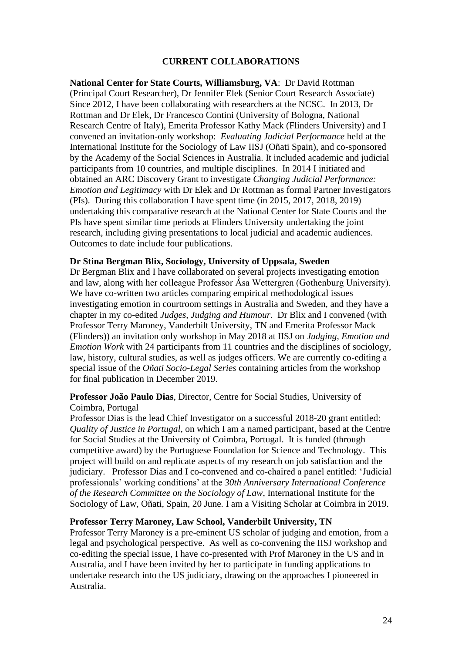## **CURRENT COLLABORATIONS**

**National Center for State Courts, Williamsburg, VA**: Dr David Rottman (Principal Court Researcher), Dr Jennifer Elek (Senior Court Research Associate) Since 2012, I have been collaborating with researchers at the NCSC. In 2013, Dr Rottman and Dr Elek, Dr Francesco Contini (University of Bologna, National Research Centre of Italy), Emerita Professor Kathy Mack (Flinders University) and I convened an invitation-only workshop: *Evaluating Judicial Performance* held at the International Institute for the Sociology of Law IISJ (Oñati Spain), and co-sponsored by the Academy of the Social Sciences in Australia. It included academic and judicial participants from 10 countries, and multiple disciplines. In 2014 I initiated and obtained an ARC Discovery Grant to investigate *Changing Judicial Performance: Emotion and Legitimacy* with Dr Elek and Dr Rottman as formal Partner Investigators (PIs). During this collaboration I have spent time (in 2015, 2017, 2018, 2019) undertaking this comparative research at the National Center for State Courts and the PIs have spent similar time periods at Flinders University undertaking the joint research, including giving presentations to local judicial and academic audiences. Outcomes to date include four publications.

#### **Dr Stina Bergman Blix, Sociology, University of Uppsala, Sweden**

Dr Bergman Blix and I have collaborated on several projects investigating emotion and law, along with her colleague Professor  $\AA$ sa Wettergren (Gothenburg University). We have co-written two articles comparing empirical methodological issues investigating emotion in courtroom settings in Australia and Sweden, and they have a chapter in my co-edited *Judges, Judging and Humour*. Dr Blix and I convened (with Professor Terry Maroney, Vanderbilt University, TN and Emerita Professor Mack (Flinders)) an invitation only workshop in May 2018 at IISJ on *Judging, Emotion and Emotion Work* with 24 participants from 11 countries and the disciplines of sociology, law, history, cultural studies, as well as judges officers. We are currently co-editing a special issue of the *Oñati Socio-Legal Series* containing articles from the workshop for final publication in December 2019.

## **Professor João Paulo Dias**, Director, Centre for Social Studies, University of Coimbra, Portugal

Professor Dias is the lead Chief Investigator on a successful 2018-20 grant entitled: *Quality of Justice in Portugal*, on which I am a named participant, based at the Centre for Social Studies at the University of Coimbra, Portugal. It is funded (through competitive award) by the Portuguese Foundation for Science and Technology. This project will build on and replicate aspects of my research on job satisfaction and the judiciary. Professor Dias and I co-convened and co-chaired a panel entitled: 'Judicial professionals' working conditions' at the *30th Anniversary International Conference of the Research Committee on the Sociology of Law*, International Institute for the Sociology of Law, Oñati, Spain, 20 June. I am a Visiting Scholar at Coimbra in 2019.

## **Professor Terry Maroney, Law School, Vanderbilt University, TN**

Professor Terry Maroney is a pre-eminent US scholar of judging and emotion, from a legal and psychological perspective. As well as co-convening the IISJ workshop and co-editing the special issue, I have co-presented with Prof Maroney in the US and in Australia, and I have been invited by her to participate in funding applications to undertake research into the US judiciary, drawing on the approaches I pioneered in Australia.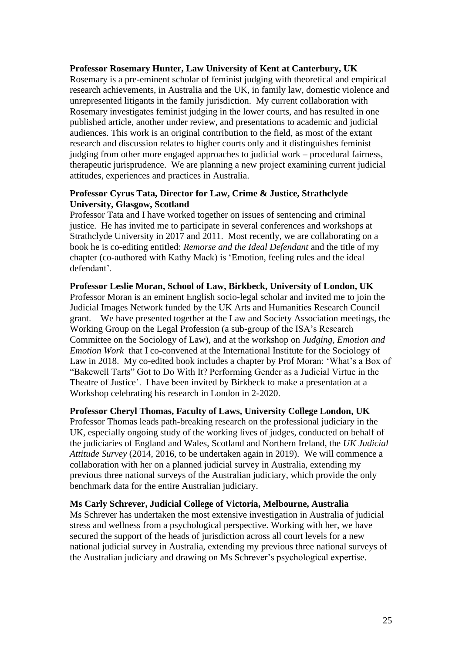## **Professor Rosemary Hunter, Law University of Kent at Canterbury, UK**

Rosemary is a pre-eminent scholar of feminist judging with theoretical and empirical research achievements, in Australia and the UK, in family law, domestic violence and unrepresented litigants in the family jurisdiction. My current collaboration with Rosemary investigates feminist judging in the lower courts, and has resulted in one published article, another under review, and presentations to academic and judicial audiences. This work is an original contribution to the field, as most of the extant research and discussion relates to higher courts only and it distinguishes feminist judging from other more engaged approaches to judicial work – procedural fairness, therapeutic jurisprudence. We are planning a new project examining current judicial attitudes, experiences and practices in Australia.

## **Professor Cyrus Tata, Director for Law, Crime & Justice, Strathclyde University, Glasgow, Scotland**

Professor Tata and I have worked together on issues of sentencing and criminal justice. He has invited me to participate in several conferences and workshops at Strathclyde University in 2017 and 2011. Most recently, we are collaborating on a book he is co-editing entitled: *Remorse and the Ideal Defendant* and the title of my chapter (co-authored with Kathy Mack) is 'Emotion, feeling rules and the ideal defendant'.

## **Professor Leslie Moran, School of Law, Birkbeck, University of London, UK**

Professor Moran is an eminent English socio-legal scholar and invited me to join the Judicial Images Network funded by the UK Arts and Humanities Research Council grant. We have presented together at the Law and Society Association meetings, the Working Group on the Legal Profession (a sub-group of the ISA's Research Committee on the Sociology of Law), and at the workshop on *Judging, Emotion and Emotion Work* that I co-convened at the International Institute for the Sociology of Law in 2018. My co-edited book includes a chapter by Prof Moran: 'What's a Box of "Bakewell Tarts" Got to Do With It? Performing Gender as a Judicial Virtue in the Theatre of Justice'. I have been invited by Birkbeck to make a presentation at a Workshop celebrating his research in London in 2-2020.

#### **Professor Cheryl Thomas, Faculty of Laws, University College London, UK**

Professor Thomas leads path-breaking research on the professional judiciary in the UK, especially ongoing study of the working lives of judges, conducted on behalf of the judiciaries of England and Wales, Scotland and Northern Ireland, the *UK Judicial Attitude Survey* (2014, 2016, to be undertaken again in 2019). We will commence a collaboration with her on a planned judicial survey in Australia, extending my previous three national surveys of the Australian judiciary, which provide the only benchmark data for the entire Australian judiciary.

#### **Ms Carly Schrever, Judicial College of Victoria, Melbourne, Australia**

Ms Schrever has undertaken the most extensive investigation in Australia of judicial stress and wellness from a psychological perspective. Working with her, we have secured the support of the heads of jurisdiction across all court levels for a new national judicial survey in Australia, extending my previous three national surveys of the Australian judiciary and drawing on Ms Schrever's psychological expertise.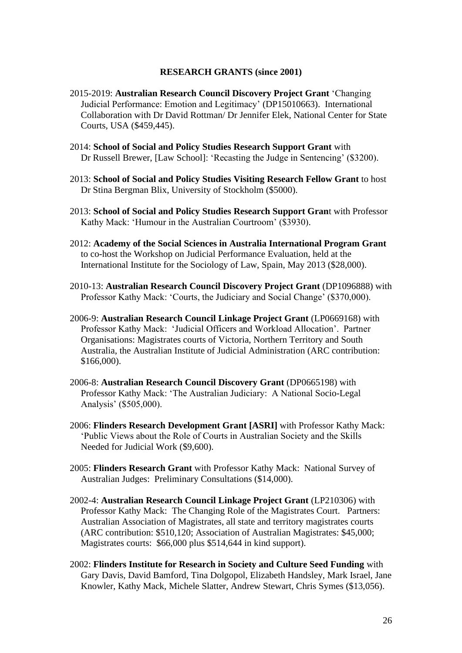#### **RESEARCH GRANTS (since 2001)**

- 2015-2019: **Australian Research Council Discovery Project Grant** 'Changing Judicial Performance: Emotion and Legitimacy' (DP15010663). International Collaboration with Dr David Rottman/ Dr Jennifer Elek, National Center for State Courts, USA (\$459,445).
- 2014: **School of Social and Policy Studies Research Support Grant** with Dr Russell Brewer, [Law School]: 'Recasting the Judge in Sentencing' (\$3200).
- 2013: **School of Social and Policy Studies Visiting Research Fellow Grant** to host Dr Stina Bergman Blix, University of Stockholm (\$5000).
- 2013: **School of Social and Policy Studies Research Support Gran**t with Professor Kathy Mack: 'Humour in the Australian Courtroom' (\$3930).
- 2012: **Academy of the Social Sciences in Australia International Program Grant** to co-host the Workshop on Judicial Performance Evaluation, held at the International Institute for the Sociology of Law, Spain, May 2013 (\$28,000).
- 2010-13: **Australian Research Council Discovery Project Grant** (DP1096888) with Professor Kathy Mack: 'Courts, the Judiciary and Social Change' (\$370,000).
- 2006-9: **Australian Research Council Linkage Project Grant** (LP0669168) with Professor Kathy Mack: 'Judicial Officers and Workload Allocation'. Partner Organisations: Magistrates courts of Victoria, Northern Territory and South Australia, the Australian Institute of Judicial Administration (ARC contribution: \$166,000).
- 2006-8: **Australian Research Council Discovery Grant** (DP0665198) with Professor Kathy Mack: 'The Australian Judiciary: A National Socio-Legal Analysis' (\$505,000).
- 2006: **Flinders Research Development Grant [ASRI]** with Professor Kathy Mack: 'Public Views about the Role of Courts in Australian Society and the Skills Needed for Judicial Work (\$9,600).
- 2005: **Flinders Research Grant** with Professor Kathy Mack: National Survey of Australian Judges: Preliminary Consultations (\$14,000).
- 2002-4: **Australian Research Council Linkage Project Grant** (LP210306) with Professor Kathy Mack: The Changing Role of the Magistrates Court. Partners: Australian Association of Magistrates, all state and territory magistrates courts (ARC contribution: \$510,120; Association of Australian Magistrates: \$45,000; Magistrates courts: \$66,000 plus \$514,644 in kind support).
- 2002: **Flinders Institute for Research in Society and Culture Seed Funding** with Gary Davis, David Bamford, Tina Dolgopol, Elizabeth Handsley, Mark Israel, Jane Knowler, Kathy Mack, Michele Slatter, Andrew Stewart, Chris Symes (\$13,056).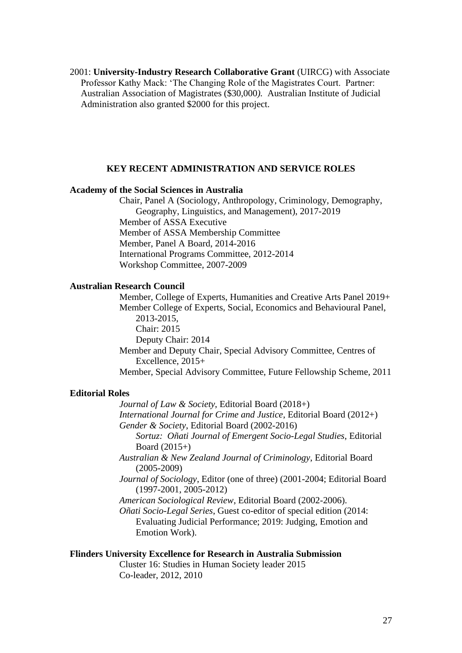2001: **University-Industry Research Collaborative Grant** (UIRCG) with Associate Professor Kathy Mack: 'The Changing Role of the Magistrates Court. Partner: Australian Association of Magistrates (\$30,000*).* Australian Institute of Judicial Administration also granted \$2000 for this project.

## **KEY RECENT ADMINISTRATION AND SERVICE ROLES**

## **Academy of the Social Sciences in Australia**

Chair, Panel A (Sociology, Anthropology, Criminology, Demography, Geography, Linguistics, and Management), 2017-2019 Member of ASSA Executive Member of ASSA Membership Committee Member, Panel A Board, 2014-2016 International Programs Committee, 2012-2014 Workshop Committee, 2007-2009

## **Australian Research Council**

Member, College of Experts, Humanities and Creative Arts Panel 2019+ Member College of Experts, Social, Economics and Behavioural Panel, 2013-2015, Chair: 2015 Deputy Chair: 2014 Member and Deputy Chair, Special Advisory Committee, Centres of Excellence, 2015+ Member, Special Advisory Committee, Future Fellowship Scheme, 2011

#### **Editorial Roles**

*Journal of Law & Society*, Editorial Board (2018+) *International Journal for Crime and Justice*, Editorial Board (2012+) *Gender & Society*, Editorial Board (2002-2016) *Sortuz: Oñati Journal of Emergent Socio-Legal Studies*, Editorial

Board  $(2015+)$ *Australian & New Zealand Journal of Criminology*, Editorial Board

(2005-2009)

*Journal of Sociology*, Editor (one of three) (2001-2004; Editorial Board (1997-2001, 2005-2012)

*American Sociological Review*, Editorial Board (2002-2006).

*Oñati Socio-Legal Series*, Guest co-editor of special edition (2014: Evaluating Judicial Performance; 2019: Judging, Emotion and Emotion Work).

## **Flinders University Excellence for Research in Australia Submission**

Cluster 16: Studies in Human Society leader 2015 Co-leader, 2012, 2010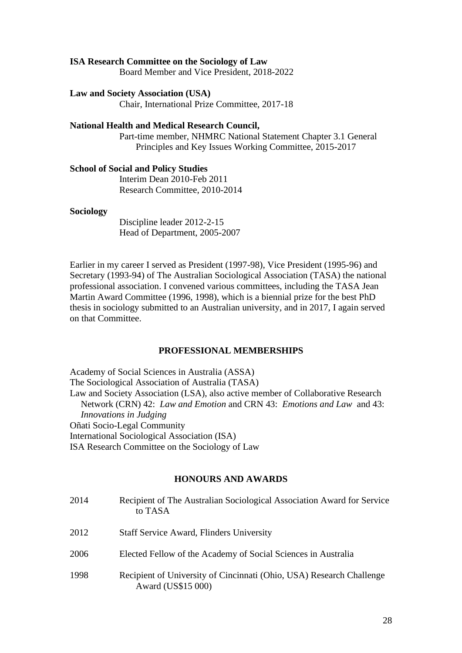#### **ISA Research Committee on the Sociology of Law**

Board Member and Vice President, 2018-2022

#### **Law and Society Association (USA)**

Chair, International Prize Committee, 2017-18

## **National Health and Medical Research Council,**

Part-time member, NHMRC National Statement Chapter 3.1 General Principles and Key Issues Working Committee, 2015-2017

## **School of Social and Policy Studies**

Interim Dean 2010-Feb 2011 Research Committee, 2010-2014

#### **Sociology**

Discipline leader 2012-2-15 Head of Department, 2005-2007

Earlier in my career I served as President (1997-98), Vice President (1995-96) and Secretary (1993-94) of The Australian Sociological Association (TASA) the national professional association. I convened various committees, including the TASA Jean Martin Award Committee (1996, 1998), which is a biennial prize for the best PhD thesis in sociology submitted to an Australian university, and in 2017, I again served on that Committee.

#### **PROFESSIONAL MEMBERSHIPS**

Academy of Social Sciences in Australia (ASSA) The Sociological Association of Australia (TASA) Law and Society Association (LSA), also active member of Collaborative Research Network (CRN) 42: *Law and Emotion* and CRN 43: *Emotions and Law* and 43: *Innovations in Judging* Oñati Socio-Legal Community International Sociological Association (ISA) ISA Research Committee on the Sociology of Law

## **HONOURS AND AWARDS**

| 2014 | Recipient of The Australian Sociological Association Award for Service<br>to TASA          |
|------|--------------------------------------------------------------------------------------------|
| 2012 | <b>Staff Service Award, Flinders University</b>                                            |
| 2006 | Elected Fellow of the Academy of Social Sciences in Australia                              |
| 1998 | Recipient of University of Cincinnati (Ohio, USA) Research Challenge<br>Award (US\$15 000) |